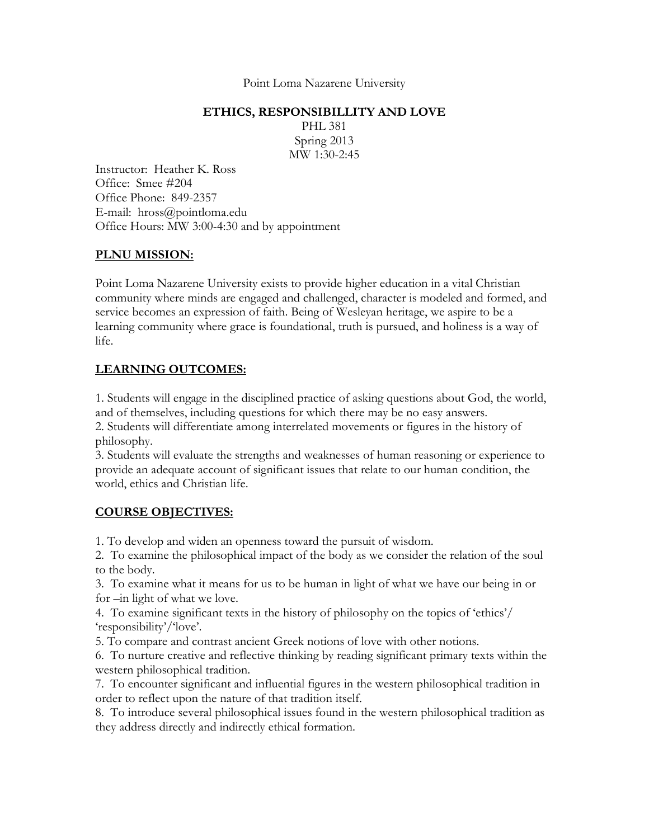Point Loma Nazarene University

#### **ETHICS, RESPONSIBILLITY AND LOVE**

PHL 381 Spring 2013 MW 1:30-2:45

Instructor: Heather K. Ross Office: Smee #204 Office Phone: 849-2357 E-mail: hross@pointloma.edu Office Hours: MW 3:00-4:30 and by appointment

#### **PLNU MISSION:**

Point Loma Nazarene University exists to provide higher education in a vital Christian community where minds are engaged and challenged, character is modeled and formed, and service becomes an expression of faith. Being of Wesleyan heritage, we aspire to be a learning community where grace is foundational, truth is pursued, and holiness is a way of life.

# **LEARNING OUTCOMES:**

1. Students will engage in the disciplined practice of asking questions about God, the world, and of themselves, including questions for which there may be no easy answers.

2. Students will differentiate among interrelated movements or figures in the history of philosophy.

3. Students will evaluate the strengths and weaknesses of human reasoning or experience to provide an adequate account of significant issues that relate to our human condition, the world, ethics and Christian life.

## **COURSE OBJECTIVES:**

1. To develop and widen an openness toward the pursuit of wisdom.

2. To examine the philosophical impact of the body as we consider the relation of the soul to the body.

3. To examine what it means for us to be human in light of what we have our being in or for –in light of what we love.

4. To examine significant texts in the history of philosophy on the topics of 'ethics'/ 'responsibility'/'love'.

5. To compare and contrast ancient Greek notions of love with other notions.

6. To nurture creative and reflective thinking by reading significant primary texts within the western philosophical tradition.

7. To encounter significant and influential figures in the western philosophical tradition in order to reflect upon the nature of that tradition itself.

8. To introduce several philosophical issues found in the western philosophical tradition as they address directly and indirectly ethical formation.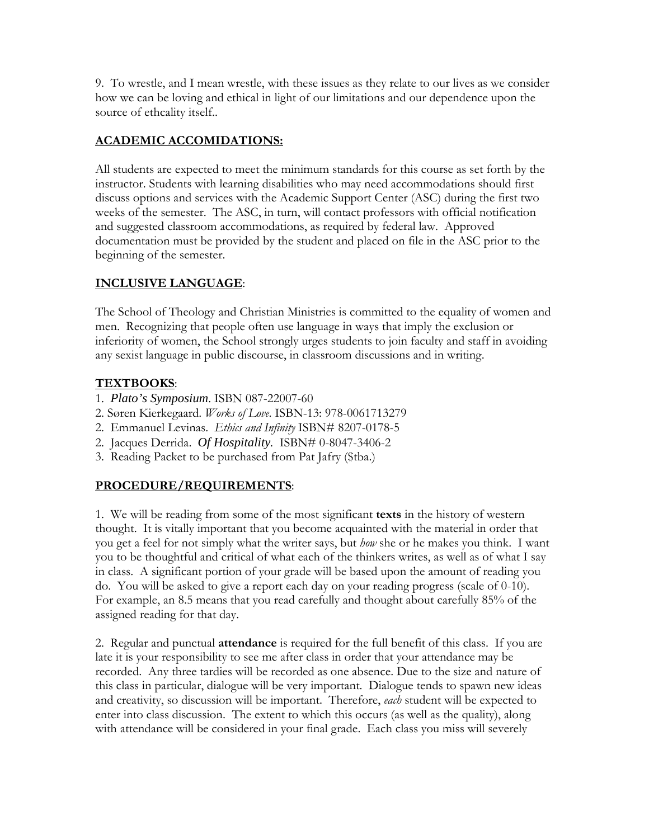9. To wrestle, and I mean wrestle, with these issues as they relate to our lives as we consider how we can be loving and ethical in light of our limitations and our dependence upon the source of ethcality itself..

## **ACADEMIC ACCOMIDATIONS:**

All students are expected to meet the minimum standards for this course as set forth by the instructor. Students with learning disabilities who may need accommodations should first discuss options and services with the Academic Support Center (ASC) during the first two weeks of the semester. The ASC, in turn, will contact professors with official notification and suggested classroom accommodations, as required by federal law. Approved documentation must be provided by the student and placed on file in the ASC prior to the beginning of the semester.

## **INCLUSIVE LANGUAGE**:

The School of Theology and Christian Ministries is committed to the equality of women and men. Recognizing that people often use language in ways that imply the exclusion or inferiority of women, the School strongly urges students to join faculty and staff in avoiding any sexist language in public discourse, in classroom discussions and in writing.

#### **TEXTBOOKS**:

- 1. *Plato's Symposium*. ISBN 087-22007-60
- 2. Søren Kierkegaard. *Works of Love*. ISBN-13: 978-0061713279
- 2. Emmanuel Levinas. *Ethics and Infinity* ISBN# 8207-0178-5
- 2. Jacques Derrida. *Of Hospitality*. ISBN# 0-8047-3406-2
- 3. Reading Packet to be purchased from Pat Jafry (\$tba.)

## **PROCEDURE/REQUIREMENTS**:

1. We will be reading from some of the most significant **texts** in the history of western thought. It is vitally important that you become acquainted with the material in order that you get a feel for not simply what the writer says, but *how* she or he makes you think. I want you to be thoughtful and critical of what each of the thinkers writes, as well as of what I say in class. A significant portion of your grade will be based upon the amount of reading you do. You will be asked to give a report each day on your reading progress (scale of 0-10). For example, an 8.5 means that you read carefully and thought about carefully 85% of the assigned reading for that day.

2. Regular and punctual **attendance** is required for the full benefit of this class. If you are late it is your responsibility to see me after class in order that your attendance may be recorded. Any three tardies will be recorded as one absence. Due to the size and nature of this class in particular, dialogue will be very important. Dialogue tends to spawn new ideas and creativity, so discussion will be important. Therefore, *each* student will be expected to enter into class discussion. The extent to which this occurs (as well as the quality), along with attendance will be considered in your final grade. Each class you miss will severely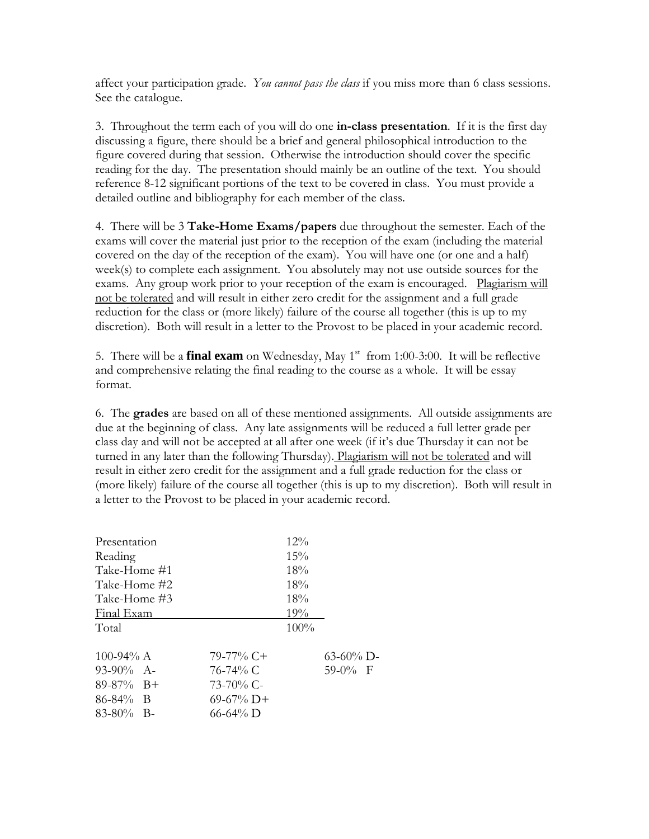affect your participation grade. *You cannot pass the class* if you miss more than 6 class sessions. See the catalogue.

3. Throughout the term each of you will do one **in-class presentation**. If it is the first day discussing a figure, there should be a brief and general philosophical introduction to the figure covered during that session. Otherwise the introduction should cover the specific reading for the day. The presentation should mainly be an outline of the text. You should reference 8-12 significant portions of the text to be covered in class. You must provide a detailed outline and bibliography for each member of the class.

4. There will be 3 **Take-Home Exams/papers** due throughout the semester. Each of the exams will cover the material just prior to the reception of the exam (including the material covered on the day of the reception of the exam). You will have one (or one and a half) week(s) to complete each assignment. You absolutely may not use outside sources for the exams. Any group work prior to your reception of the exam is encouraged. Plagiarism will not be tolerated and will result in either zero credit for the assignment and a full grade reduction for the class or (more likely) failure of the course all together (this is up to my discretion). Both will result in a letter to the Provost to be placed in your academic record.

5. There will be a **final exam** on Wednesday, May 1<sup>st</sup> from 1:00-3:00. It will be reflective and comprehensive relating the final reading to the course as a whole. It will be essay format.

6. The **grades** are based on all of these mentioned assignments. All outside assignments are due at the beginning of class. Any late assignments will be reduced a full letter grade per class day and will not be accepted at all after one week (if it's due Thursday it can not be turned in any later than the following Thursday). Plagiarism will not be tolerated and will result in either zero credit for the assignment and a full grade reduction for the class or (more likely) failure of the course all together (this is up to my discretion). Both will result in a letter to the Provost to be placed in your academic record.

| Presentation  |                | $12\%$ |              |
|---------------|----------------|--------|--------------|
| Reading       |                | 15%    |              |
| Take-Home #1  |                | 18%    |              |
| Take-Home #2  |                | 18%    |              |
| Take-Home #3  |                | 18%    |              |
| Final Exam    |                | 19%    |              |
| Total         |                | 100%   |              |
| 100-94% $A$   | $79-77\%$ C+   |        | $63-60\%$ D- |
| $93-90\%$ A-  | 76-74% C       |        | $59-0%$ F    |
| $89-87\%$ B+  | $73 - 70\%$ C- |        |              |
| $86 - 84\%$ B | $69-67\%$ D+   |        |              |
| $83-80\%$ B-  | $66 - 64\%$ D  |        |              |